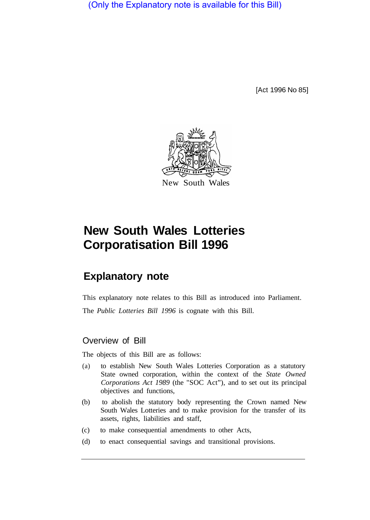(Only the Explanatory note is available for this Bill)

[Act 1996 No 85]



# **New South Wales Lotteries Corporatisation Bill 1996**

# **Explanatory note**

This explanatory note relates to this Bill as introduced into Parliament.

The *Public Lotteries Bill 1996* is cognate with this Bill.

### Overview of Bill

The objects of this Bill are as follows:

- (a) to establish New South Wales Lotteries Corporation as a statutory State owned corporation, within the context of the *State Owned Corporations Act 1989* (the "SOC Act"), and to set out its principal objectives and functions,
- (b) to abolish the statutory body representing the Crown named New South Wales Lotteries and to make provision for the transfer of its assets, rights, liabilities and staff,
- (c) to make consequential amendments to other Acts,
- (d) to enact consequential savings and transitional provisions.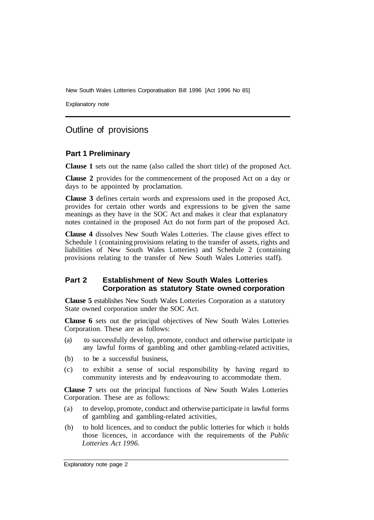New South Wales Lotteries Corporatisation Bill 1996 [Act 1996 No 85]

Explanatory note

### Outline of provisions

#### **Part 1 Preliminary**

**Clause 1** sets out the name (also called the short title) of the proposed Act.

**Clause 2** provides for the commencement of the proposed Act on a day or days to be appointed by proclamation.

**Clause 3** defines certain words and expressions used in the proposed Act, provides for certain other words and expressions to be given the same meanings as they have in the SOC Act and makes it clear that explanatory notes contained in the proposed Act do not form part of the proposed Act.

**Clause 4** dissolves New South Wales Lotteries. The clause gives effect to Schedule 1 (containing provisions relating to the transfer of assets, rights and liabilities of New South Wales Lotteries) and Schedule 2 (containing provisions relating to the transfer of New South Wales Lotteries staff).

#### **Part 2 Establishment of New South Wales Lotteries Corporation as statutory State owned corporation**

**Clause 5** establishes New South Wales Lotteries Corporation as a statutory State owned corporation under the SOC Act.

**Clause 6** sets out the principal objectives of New South Wales Lotteries Corporation. These are as follows:

- (a) to successfully develop, promote, conduct and otherwise participate in any lawful forms of gambling and other gambling-related activities,
- (b) to be a successful business,
- (c) to exhibit a sense of social responsibility by having regard to community interests and by endeavouring to accommodate them.

**Clause 7** sets out the principal functions of New South Wales Lotteries Corporation. These are as follows:

- (a) to develop, promote, conduct and otherwise participate in lawful forms of gambling and gambling-related activities,
- (b) to hold licences, and to conduct the public lotteries for which it holds those licences, in accordance with the requirements of the *Public Lotteries Act 1996.*

Explanatory note page 2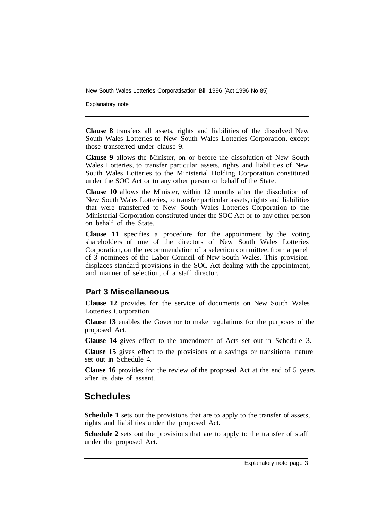New South Wales Lotteries Corporatisation Bill 1996 [Act 1996 No 85]

Explanatory note

**Clause 8** transfers all assets, rights and liabilities of the dissolved New South Wales Lotteries to New South Wales Lotteries Corporation, except those transferred under clause 9.

**Clause 9** allows the Minister, on or before the dissolution of New South Wales Lotteries, to transfer particular assets, rights and liabilities of New South Wales Lotteries to the Ministerial Holding Corporation constituted under the SOC Act or to any other person on behalf of the State.

**Clause 10** allows the Minister, within 12 months after the dissolution of New South Wales Lotteries, to transfer particular assets, rights and liabilities that were transferred to New South Wales Lotteries Corporation to the Ministerial Corporation constituted under the SOC Act or to any other person on behalf of the State.

**Clause 11** specifies a procedure for the appointment by the voting shareholders of one of the directors of New South Wales Lotteries Corporation, on the recommendation of a selection committee, from a panel of 3 nominees of the Labor Council of New South Wales. This provision displaces standard provisions in the SOC Act dealing with the appointment, and manner of selection, of a staff director.

#### **Part 3 Miscellaneous**

**Clause 12** provides for the service of documents on New South Wales Lotteries Corporation.

**Clause 13** enables the Governor to make regulations for the purposes of the proposed Act.

**Clause 14** gives effect to the amendment of Acts set out in Schedule 3.

**Clause 15** gives effect to the provisions of a savings or transitional nature set out in Schedule 4.

**Clause 16** provides for the review of the proposed Act at the end of 5 years after its date of assent.

## **Schedules**

**Schedule 1** sets out the provisions that are to apply to the transfer of assets, rights and liabilities under the proposed Act.

**Schedule 2** sets out the provisions that are to apply to the transfer of staff under the proposed Act.